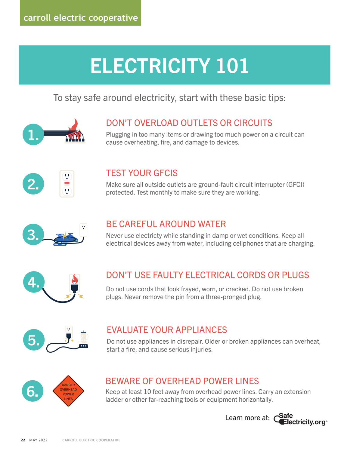# ELECTRICITY 101

### To stay safe around electricity, start with these basic tips:



### DON'T OVERLOAD OUTLETS OR CIRCUITS

Plugging in too many items or drawing too much power on a circuit can cause overheating, fire, and damage to devices.



### TEST YOUR GFCIS

Make sure all outside outlets are ground-fault circuit interrupter (GFCI) protected. Test monthly to make sure they are working.



### BE CAREFUL AROUND WATER

Never use electricty while standing in damp or wet conditions. Keep all electrical devices away from water, including cellphones that are charging.



### DON'T USE FAULTY ELECTRICAL CORDS OR PLUGS

Do not use cords that look frayed, worn, or cracked. Do not use broken plugs. Never remove the pin from a three-pronged plug.

| LΙ<br>u t<br>n |
|----------------|
|                |

### EVALUATE YOUR APPLIANCES

Do not use appliances in disrepair. Older or broken appliances can overheat, start a fire, and cause serious injuries.



### BEWARE OF OVERHEAD POWER LINES

Keep at least 10 feet away from overhead power lines. Carry an extension ladder or other far-reaching tools or equipment horizontally.

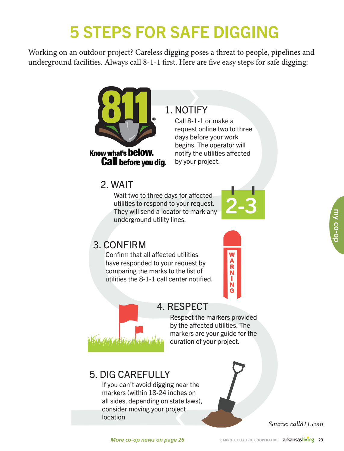### **5 STEPS FOR SAFE DIGGI** 5 STEPS FOR SAFE DIGGING

 $\frac{1}{\sqrt{2}}$  underground facilities Always call 8-1-1 first. Here are five easy steps for safe dig  $\frac{1}{2}$  facilities. Always call  $\frac{1}{2}$  first  $\frac{1}{2}$  first. Here  $\frac{1}{2}$  first. Here  $\frac{1}{2}$  first. Here  $\frac{1}{2}$ Working on an outdoor project? Careless digging poses a threat to people, pipelines and underground facilities. Always call 8-1-1 first. Here are five easy steps for safe digging:



## 1. NOTIFY 1. NOTIFY

 $\begin{bmatrix} 1 & 0 \\ 0 & 1 \end{bmatrix}$ **request online two to three** days before your work days before your work begins. The operator will begins. The operator will notify the utilities affected notify the utilities affected Idig. by your project. Call 8-1-1 or make a

### 2. WAIT 2. WAIT

Wait two to three days for affected<br>utilities to respond to your request.<br>They will send a locator to mark any utilities to respond to your request. utilities to respond to your request. underground utility lines. underground utility lines. Wait two to three days for affected



### 3. CONFIRM 3. CONFIRM

Confirm that all affected utilities Confirm that all affected utilities have responded to your request by have responded to your request by comparing the marks to the list of comparing the marks to the list of utilities the 8-1-1 call center notified. utilities the 8-1-1 call center notified.





### 4. RESPECT 4. RESPECT

Respect the markers provided Respect the markers provided by the affected utilities. The by the affected utilities. The by the arrected diffice  $max$  arkers are your guide for the duration of your project.

### **J. DIG CARLI OLLI** 5. DIG CAREFULLY 5. DIG CAREFULLY

If you can't avoid digging near the markers (within 18-24 inches on all sides, depending on state laws), consider moving your project location.